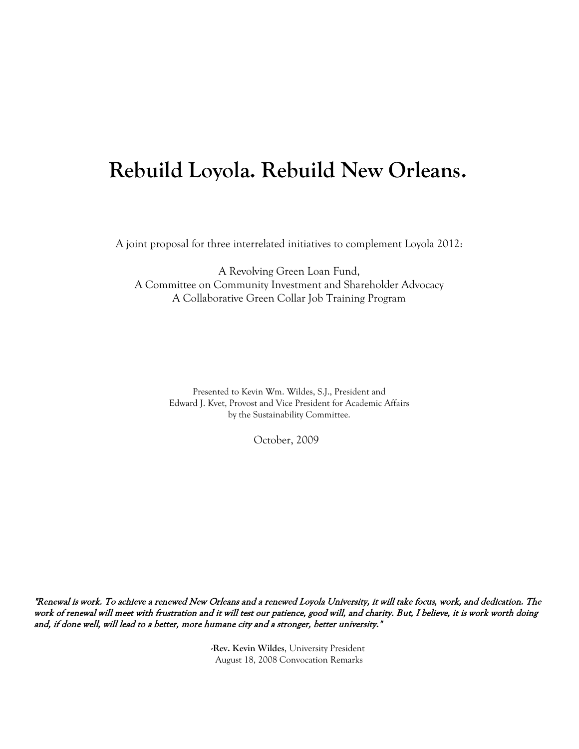## **Rebuild Loyola. Rebuild New Orleans.**

A joint proposal for three interrelated initiatives to complement Loyola 2012:

A Revolving Green Loan Fund, A Committee on Community Investment and Shareholder Advocacy A Collaborative Green Collar Job Training Program

> Presented to Kevin Wm. Wildes, S.J., President and Edward J. Kvet, Provost and Vice President for Academic Affairs by the Sustainability Committee.

> > October, 2009

"Renewal is work. To achieve a renewed New Orleans and a renewed Loyola University, it will take focus, work, and dedication. The work of renewal will meet with frustration and it will test our patience, good will, and charity. But, I believe, it is work worth doing and, if done well, will lead to a better, more humane city and a stronger, better university."

> **-Rev. Kevin Wildes**, University President August 18, 2008 Convocation Remarks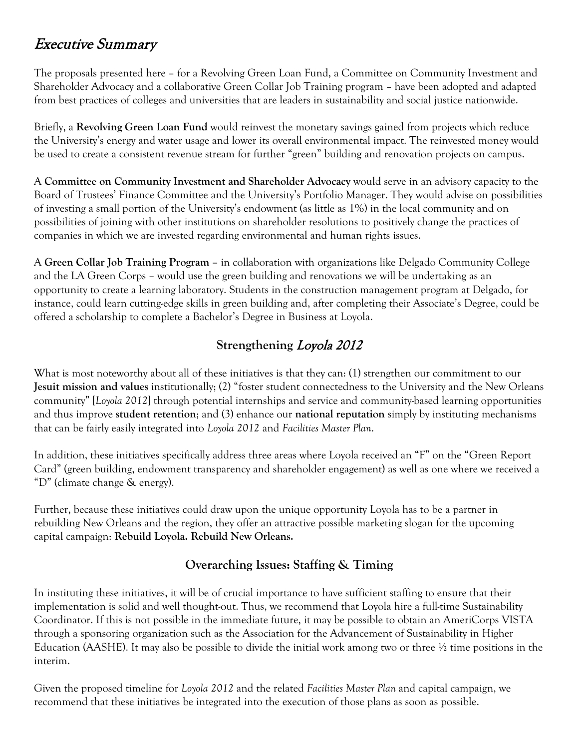### Executive Summary

The proposals presented here – for a Revolving Green Loan Fund, a Committee on Community Investment and Shareholder Advocacy and a collaborative Green Collar Job Training program – have been adopted and adapted from best practices of colleges and universities that are leaders in sustainability and social justice nationwide.

Briefly, a **Revolving Green Loan Fund** would reinvest the monetary savings gained from projects which reduce the University's energy and water usage and lower its overall environmental impact. The reinvested money would be used to create a consistent revenue stream for further "green" building and renovation projects on campus.

A **Committee on Community Investment and Shareholder Advocacy** would serve in an advisory capacity to the Board of Trustees' Finance Committee and the University's Portfolio Manager. They would advise on possibilities of investing a small portion of the University's endowment (as little as 1%) in the local community and on possibilities of joining with other institutions on shareholder resolutions to positively change the practices of companies in which we are invested regarding environmental and human rights issues.

A **Green Collar Job Training Program –** in collaboration with organizations like Delgado Community College and the LA Green Corps – would use the green building and renovations we will be undertaking as an opportunity to create a learning laboratory. Students in the construction management program at Delgado, for instance, could learn cutting-edge skills in green building and, after completing their Associate's Degree, could be offered a scholarship to complete a Bachelor's Degree in Business at Loyola.

### **Strengthening** Loyola 2012

What is most noteworthy about all of these initiatives is that they can: (1) strengthen our commitment to our **Jesuit mission and values** institutionally; (2) "foster student connectedness to the University and the New Orleans community" [*Loyola 2012*] through potential internships and service and community-based learning opportunities and thus improve **student retention**; and (3) enhance our **national reputation** simply by instituting mechanisms that can be fairly easily integrated into *Loyola 2012* and *Facilities Master Plan*.

In addition, these initiatives specifically address three areas where Loyola received an "F" on the "Green Report Card" (green building, endowment transparency and shareholder engagement) as well as one where we received a "D" (climate change & energy).

Further, because these initiatives could draw upon the unique opportunity Loyola has to be a partner in rebuilding New Orleans and the region, they offer an attractive possible marketing slogan for the upcoming capital campaign: **Rebuild Loyola. Rebuild New Orleans.**

### **Overarching Issues: Staffing & Timing**

In instituting these initiatives, it will be of crucial importance to have sufficient staffing to ensure that their implementation is solid and well thought-out. Thus, we recommend that Loyola hire a full-time Sustainability Coordinator. If this is not possible in the immediate future, it may be possible to obtain an AmeriCorps VISTA through a sponsoring organization such as the Association for the Advancement of Sustainability in Higher Education (AASHE). It may also be possible to divide the initial work among two or three  $\frac{1}{2}$  time positions in the interim.

Given the proposed timeline for *Loyola 2012* and the related *Facilities Master Plan* and capital campaign, we recommend that these initiatives be integrated into the execution of those plans as soon as possible.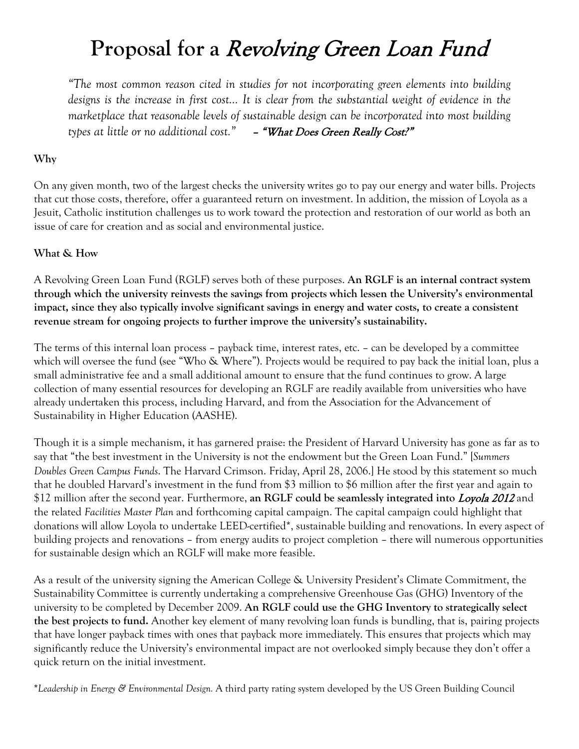## **Proposal for a** Revolving Green Loan Fund

*"The most common reason cited in studies for not incorporating green elements into building designs is the increase in first cost… It is clear from the substantial weight of evidence in the marketplace that reasonable levels of sustainable design can be incorporated into most building types at little or no additional cost."* – "What Does Green Really Cost?"

#### **Why**

On any given month, two of the largest checks the university writes go to pay our energy and water bills. Projects that cut those costs, therefore, offer a guaranteed return on investment. In addition, the mission of Loyola as a Jesuit, Catholic institution challenges us to work toward the protection and restoration of our world as both an issue of care for creation and as social and environmental justice.

#### **What & How**

A Revolving Green Loan Fund (RGLF) serves both of these purposes. **An RGLF is an internal contract system through which the university reinvests the savings from projects which lessen the University's environmental impact, since they also typically involve significant savings in energy and water costs, to create a consistent revenue stream for ongoing projects to further improve the university's sustainability.** 

The terms of this internal loan process – payback time, interest rates, etc. – can be developed by a committee which will oversee the fund (see "Who & Where"). Projects would be required to pay back the initial loan, plus a small administrative fee and a small additional amount to ensure that the fund continues to grow. A large collection of many essential resources for developing an RGLF are readily available from universities who have already undertaken this process, including Harvard, and from the Association for the Advancement of Sustainability in Higher Education (AASHE).

Though it is a simple mechanism, it has garnered praise: the President of Harvard University has gone as far as to say that "the best investment in the University is not the endowment but the Green Loan Fund." [*Summers Doubles Green Campus Funds*. The Harvard Crimson. Friday, April 28, 2006.] He stood by this statement so much that he doubled Harvard's investment in the fund from \$3 million to \$6 million after the first year and again to \$12 million after the second year. Furthermore, **an RGLF could be seamlessly integrated into** Loyola 2012 and the related *Facilities Master Plan* and forthcoming capital campaign. The capital campaign could highlight that donations will allow Loyola to undertake LEED-certified\*, sustainable building and renovations. In every aspect of building projects and renovations – from energy audits to project completion – there will numerous opportunities for sustainable design which an RGLF will make more feasible.

As a result of the university signing the American College & University President's Climate Commitment, the Sustainability Committee is currently undertaking a comprehensive Greenhouse Gas (GHG) Inventory of the university to be completed by December 2009. **An RGLF could use the GHG Inventory to strategically select the best projects to fund.** Another key element of many revolving loan funds is bundling, that is, pairing projects that have longer payback times with ones that payback more immediately. This ensures that projects which may significantly reduce the University's environmental impact are not overlooked simply because they don't offer a quick return on the initial investment.

**\****Leadership in Energy & Environmental Design.* A third party rating system developed by the US Green Building Council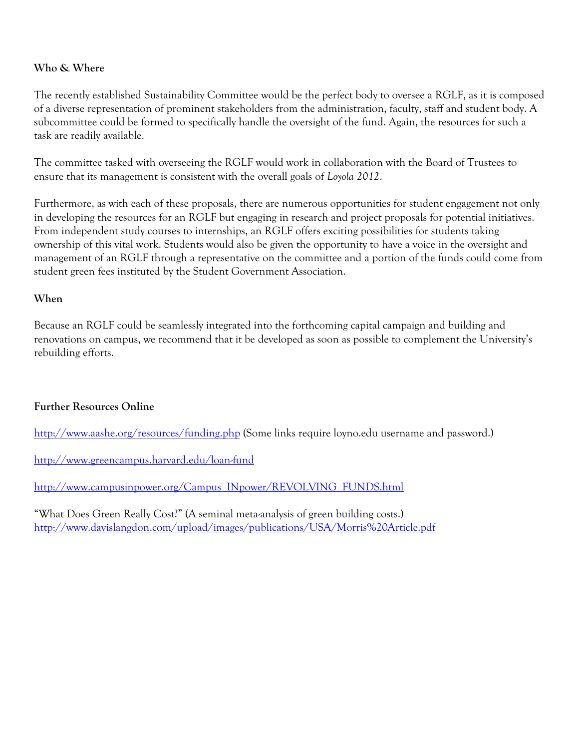#### **Who & Where**

The recently established Sustainability Committee would be the perfect body to oversee a RGLF, as it is composed of a diverse representation of prominent stakeholders from the administration, faculty, staff and student body. A subcommittee could be formed to specifically handle the oversight of the fund. Again, the resources for such a task are readily available.

The committee tasked with overseeing the RGLF would work in collaboration with the Board of Trustees to ensure that its management is consistent with the overall goals of *Loyola 2012*.

Furthermore, as with each of these proposals, there are numerous opportunities for student engagement not only in developing the resources for an RGLF but engaging in research and project proposals for potential initiatives. From independent study courses to internships, an RGLF offers exciting possibilities for students taking ownership of this vital work. Students would also be given the opportunity to have a voice in the oversight and management of an RGLF through a representative on the committee and a portion of the funds could come from student green fees instituted by the Student Government Association.

#### **When**

Because an RGLF could be seamlessly integrated into the forthcoming capital campaign and building and renovations on campus, we recommend that it be developed as soon as possible to complement the University's rebuilding efforts.

#### **Further Resources Online**

<http://www.aashe.org/resources/funding.php> (Some links require loyno.edu username and password.)

<http://www.greencampus.harvard.edu/loan-fund>

[http://www.campusinpower.org/Campus\\_INpower/REVOLVING\\_FUNDS.html](http://www.campusinpower.org/Campus_INpower/REVOLVING_FUNDS.html)

"What Does Green Really Cost?" (A seminal meta-analysis of green building costs.) <http://www.davislangdon.com/upload/images/publications/USA/Morris%20Article.pdf>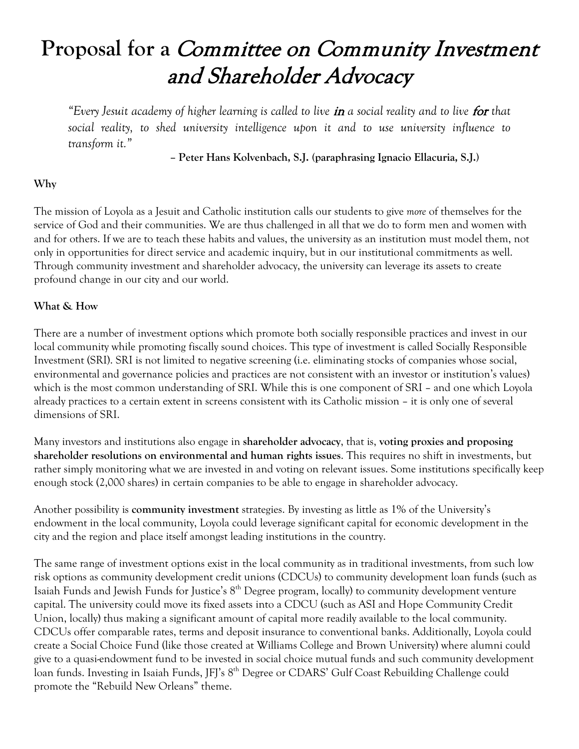# **Proposal for a** Committee on Community Investment and Shareholder Advocacy

*"Every Jesuit academy of higher learning is called to live in a social reality and to live for that social reality, to shed university intelligence upon it and to use university influence to transform it."*

**– Peter Hans Kolvenbach, S.J. (paraphrasing Ignacio Ellacuria, S.J.)**

#### **Why**

The mission of Loyola as a Jesuit and Catholic institution calls our students to give *more* of themselves for the service of God and their communities. We are thus challenged in all that we do to form men and women with and for others. If we are to teach these habits and values, the university as an institution must model them, not only in opportunities for direct service and academic inquiry, but in our institutional commitments as well. Through community investment and shareholder advocacy, the university can leverage its assets to create profound change in our city and our world.

#### **What & How**

There are a number of investment options which promote both socially responsible practices and invest in our local community while promoting fiscally sound choices. This type of investment is called Socially Responsible Investment (SRI). SRI is not limited to negative screening (i.e. eliminating stocks of companies whose social, environmental and governance policies and practices are not consistent with an investor or institution's values) which is the most common understanding of SRI. While this is one component of SRI – and one which Loyola already practices to a certain extent in screens consistent with its Catholic mission – it is only one of several dimensions of SRI.

Many investors and institutions also engage in **shareholder advocacy**, that is, **voting proxies and proposing shareholder resolutions on environmental and human rights issues**. This requires no shift in investments, but rather simply monitoring what we are invested in and voting on relevant issues. Some institutions specifically keep enough stock (2,000 shares) in certain companies to be able to engage in shareholder advocacy.

Another possibility is **community investment** strategies. By investing as little as 1% of the University's endowment in the local community, Loyola could leverage significant capital for economic development in the city and the region and place itself amongst leading institutions in the country.

The same range of investment options exist in the local community as in traditional investments, from such low risk options as community development credit unions (CDCUs) to community development loan funds (such as Isaiah Funds and Jewish Funds for Justice's  $8<sup>th</sup>$  Degree program, locally) to community development venture capital. The university could move its fixed assets into a CDCU (such as ASI and Hope Community Credit Union, locally) thus making a significant amount of capital more readily available to the local community. CDCUs offer comparable rates, terms and deposit insurance to conventional banks. Additionally, Loyola could create a Social Choice Fund (like those created at Williams College and Brown University) where alumni could give to a quasi-endowment fund to be invested in social choice mutual funds and such community development loan funds. Investing in Isaiah Funds, JFI's 8<sup>th</sup> Degree or CDARS' Gulf Coast Rebuilding Challenge could promote the "Rebuild New Orleans" theme.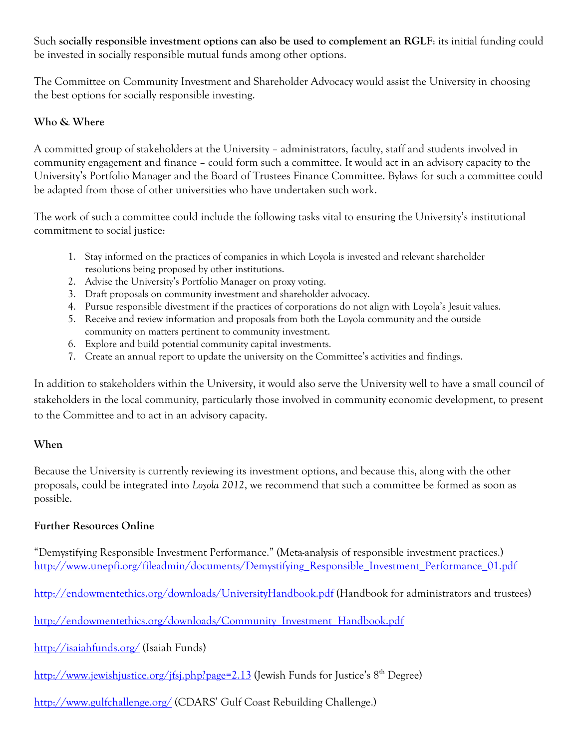Such **socially responsible investment options can also be used to complement an RGLF**: its initial funding could be invested in socially responsible mutual funds among other options.

The Committee on Community Investment and Shareholder Advocacy would assist the University in choosing the best options for socially responsible investing.

#### **Who & Where**

A committed group of stakeholders at the University – administrators, faculty, staff and students involved in community engagement and finance – could form such a committee. It would act in an advisory capacity to the University's Portfolio Manager and the Board of Trustees Finance Committee. Bylaws for such a committee could be adapted from those of other universities who have undertaken such work.

The work of such a committee could include the following tasks vital to ensuring the University's institutional commitment to social justice:

- 1. Stay informed on the practices of companies in which Loyola is invested and relevant shareholder resolutions being proposed by other institutions.
- 2. Advise the University's Portfolio Manager on proxy voting.
- 3. Draft proposals on community investment and shareholder advocacy.
- 4. Pursue responsible divestment if the practices of corporations do not align with Loyola's Jesuit values.
- 5. Receive and review information and proposals from both the Loyola community and the outside community on matters pertinent to community investment.
- 6. Explore and build potential community capital investments.
- 7. Create an annual report to update the university on the Committee's activities and findings.

In addition to stakeholders within the University, it would also serve the University well to have a small council of stakeholders in the local community, particularly those involved in community economic development, to present to the Committee and to act in an advisory capacity.

#### **When**

Because the University is currently reviewing its investment options, and because this, along with the other proposals, could be integrated into *Loyola 2012*, we recommend that such a committee be formed as soon as possible.

#### **Further Resources Online**

"Demystifying Responsible Investment Performance." (Meta-analysis of responsible investment practices.) [http://www.unepfi.org/fileadmin/documents/Demystifying\\_Responsible\\_Investment\\_Performance\\_01.pdf](http://www.unepfi.org/fileadmin/documents/Demystifying_Responsible_Investment_Performance_01.pdf)

<http://endowmentethics.org/downloads/UniversityHandbook.pdf> (Handbook for administrators and trustees)

[http://endowmentethics.org/downloads/Community\\_Investment\\_Handbook.pdf](http://endowmentethics.org/downloads/Community_Investment_Handbook.pdf)

<http://isaiahfunds.org/> (Isaiah Funds)

<http://www.jewishjustice.org/jfsj.php?page=2.13> (Jewish Funds for Justice's 8<sup>th</sup> Degree)

<http://www.gulfchallenge.org/> (CDARS' Gulf Coast Rebuilding Challenge.)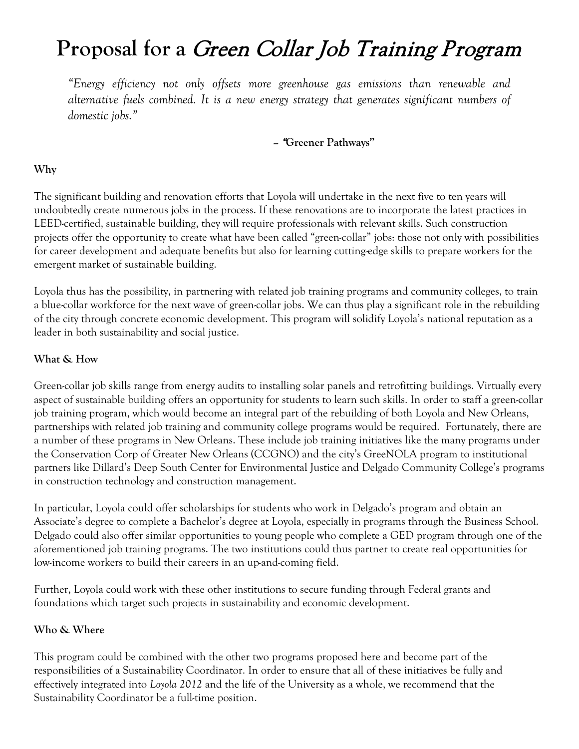## **Proposal for a** Green Collar Job Training Program

*"Energy efficiency not only offsets more greenhouse gas emissions than renewable and alternative fuels combined. It is a new energy strategy that generates significant numbers of domestic jobs."*

– "**Greener Pathways"**

#### **Why**

The significant building and renovation efforts that Loyola will undertake in the next five to ten years will undoubtedly create numerous jobs in the process. If these renovations are to incorporate the latest practices in LEED-certified, sustainable building, they will require professionals with relevant skills. Such construction projects offer the opportunity to create what have been called "green-collar" jobs: those not only with possibilities for career development and adequate benefits but also for learning cutting-edge skills to prepare workers for the emergent market of sustainable building.

Loyola thus has the possibility, in partnering with related job training programs and community colleges, to train a blue-collar workforce for the next wave of green-collar jobs. We can thus play a significant role in the rebuilding of the city through concrete economic development. This program will solidify Loyola's national reputation as a leader in both sustainability and social justice.

#### **What & How**

Green-collar job skills range from energy audits to installing solar panels and retrofitting buildings. Virtually every aspect of sustainable building offers an opportunity for students to learn such skills. In order to staff a green-collar job training program, which would become an integral part of the rebuilding of both Loyola and New Orleans, partnerships with related job training and community college programs would be required. Fortunately, there are a number of these programs in New Orleans. These include job training initiatives like the many programs under the Conservation Corp of Greater New Orleans (CCGNO) and the city's GreeNOLA program to institutional partners like Dillard's Deep South Center for Environmental Justice and Delgado Community College's programs in construction technology and construction management.

In particular, Loyola could offer scholarships for students who work in Delgado's program and obtain an Associate's degree to complete a Bachelor's degree at Loyola, especially in programs through the Business School. Delgado could also offer similar opportunities to young people who complete a GED program through one of the aforementioned job training programs. The two institutions could thus partner to create real opportunities for low-income workers to build their careers in an up-and-coming field.

Further, Loyola could work with these other institutions to secure funding through Federal grants and foundations which target such projects in sustainability and economic development.

#### **Who & Where**

This program could be combined with the other two programs proposed here and become part of the responsibilities of a Sustainability Coordinator. In order to ensure that all of these initiatives be fully and effectively integrated into *Loyola 2012* and the life of the University as a whole, we recommend that the Sustainability Coordinator be a full-time position.